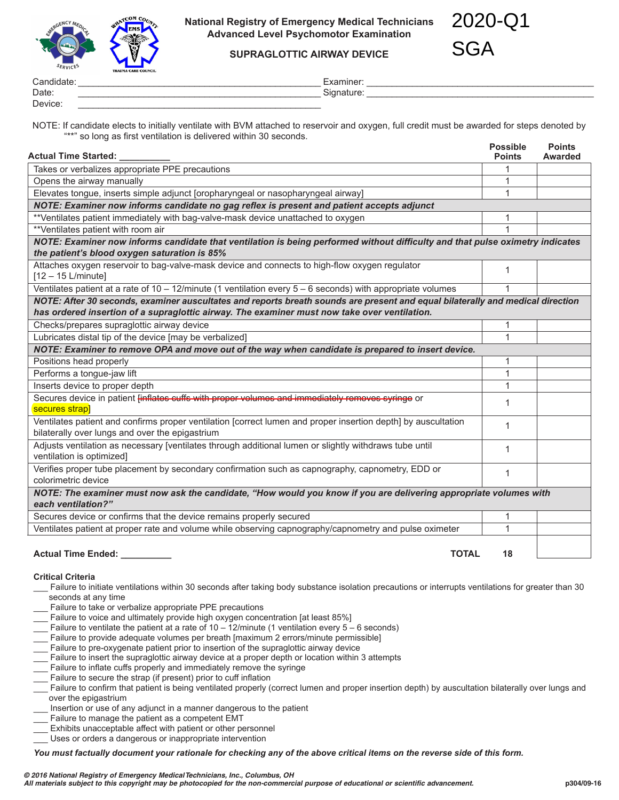

**National Registry of Emergency Medical Technicians Advanced Level Psychomotor Examination**

2020-Q1 SGA

**SUPRAGLOTTIC AIRWAY DEVICE**

Candidate: \_\_\_\_\_\_\_\_\_\_\_\_\_\_\_\_\_\_\_\_\_\_\_\_\_\_\_\_\_\_\_\_\_\_\_\_\_\_\_\_\_\_\_\_\_\_\_\_ Examiner: \_\_\_\_\_\_\_\_\_\_\_\_\_\_\_\_\_\_\_\_\_\_\_\_\_\_\_\_\_\_\_\_\_\_\_\_\_\_\_\_\_\_\_\_\_ Date: \_\_\_\_\_\_\_\_\_\_\_\_\_\_\_\_\_\_\_\_\_\_\_\_\_\_\_\_\_\_\_\_\_\_\_\_\_\_\_\_\_\_\_\_\_\_\_\_ Signature: \_\_\_\_\_\_\_\_\_\_\_\_\_\_\_\_\_\_\_\_\_\_\_\_\_\_\_\_\_\_\_\_\_\_\_\_\_\_\_\_\_\_\_\_\_ Device: \_\_\_\_\_\_\_\_\_\_\_\_\_\_\_\_\_\_\_\_\_\_\_\_\_\_\_\_\_\_\_\_\_\_\_\_\_\_\_\_\_\_\_\_\_\_\_\_

NOTE: If candidate elects to initially ventilate with BVM attached to reservoir and oxygen, full credit must be awarded for steps denoted by "\*\*" so long as first ventilation is delivered within 30 seconds.

| <b>Actual Time Started:</b>                                                                                                                                                                                                    | <b>Possible</b><br><b>Points</b> | <b>Points</b><br><b>Awarded</b> |  |  |  |  |
|--------------------------------------------------------------------------------------------------------------------------------------------------------------------------------------------------------------------------------|----------------------------------|---------------------------------|--|--|--|--|
| Takes or verbalizes appropriate PPE precautions                                                                                                                                                                                |                                  |                                 |  |  |  |  |
| Opens the airway manually                                                                                                                                                                                                      | 1                                |                                 |  |  |  |  |
| Elevates tongue, inserts simple adjunct [oropharyngeal or nasopharyngeal airway]                                                                                                                                               | 1                                |                                 |  |  |  |  |
| NOTE: Examiner now informs candidate no gag reflex is present and patient accepts adjunct                                                                                                                                      |                                  |                                 |  |  |  |  |
| **Ventilates patient immediately with bag-valve-mask device unattached to oxygen                                                                                                                                               | 1                                |                                 |  |  |  |  |
| **Ventilates patient with room air                                                                                                                                                                                             | 1                                |                                 |  |  |  |  |
| NOTE: Examiner now informs candidate that ventilation is being performed without difficulty and that pulse oximetry indicates<br>the patient's blood oxygen saturation is 85%                                                  |                                  |                                 |  |  |  |  |
| Attaches oxygen reservoir to bag-valve-mask device and connects to high-flow oxygen regulator<br>$[12 - 15$ L/minute]                                                                                                          | 1                                |                                 |  |  |  |  |
| Ventilates patient at a rate of $10 - 12$ /minute (1 ventilation every $5 - 6$ seconds) with appropriate volumes                                                                                                               |                                  |                                 |  |  |  |  |
| NOTE: After 30 seconds, examiner auscultates and reports breath sounds are present and equal bilaterally and medical direction<br>has ordered insertion of a supraglottic airway. The examiner must now take over ventilation. |                                  |                                 |  |  |  |  |
| Checks/prepares supraglottic airway device                                                                                                                                                                                     | 1                                |                                 |  |  |  |  |
| Lubricates distal tip of the device [may be verbalized]                                                                                                                                                                        | 1                                |                                 |  |  |  |  |
| NOTE: Examiner to remove OPA and move out of the way when candidate is prepared to insert device.                                                                                                                              |                                  |                                 |  |  |  |  |
| Positions head properly                                                                                                                                                                                                        | 1                                |                                 |  |  |  |  |
| Performs a tongue-jaw lift                                                                                                                                                                                                     | 1                                |                                 |  |  |  |  |
| Inserts device to proper depth                                                                                                                                                                                                 | 1                                |                                 |  |  |  |  |
| Secures device in patient finflates cuffs with proper volumes and immediately removes syringe or<br>secures strap]                                                                                                             | 1                                |                                 |  |  |  |  |
| Ventilates patient and confirms proper ventilation [correct lumen and proper insertion depth] by auscultation<br>bilaterally over lungs and over the epigastrium                                                               | 1                                |                                 |  |  |  |  |
| Adjusts ventilation as necessary [ventilates through additional lumen or slightly withdraws tube until<br>ventilation is optimized]                                                                                            | $\mathbf 1$                      |                                 |  |  |  |  |
| Verifies proper tube placement by secondary confirmation such as capnography, capnometry, EDD or<br>colorimetric device                                                                                                        | 1                                |                                 |  |  |  |  |
| NOTE: The examiner must now ask the candidate, "How would you know if you are delivering appropriate volumes with<br>each ventilation?"                                                                                        |                                  |                                 |  |  |  |  |
| Secures device or confirms that the device remains properly secured                                                                                                                                                            | 1                                |                                 |  |  |  |  |
| Ventilates patient at proper rate and volume while observing capnography/capnometry and pulse oximeter                                                                                                                         | 1                                |                                 |  |  |  |  |
| <b>TOTAL</b><br><b>Actual Time Ended:</b>                                                                                                                                                                                      | 18                               |                                 |  |  |  |  |

#### **Critical Criteria**

- \_\_\_ Failure to initiate ventilations within 30 seconds after taking body substance isolation precautions or interrupts ventilations for greater than 30 seconds at any time
- Failure to take or verbalize appropriate PPE precautions
- Failure to voice and ultimately provide high oxygen concentration [at least 85%]
- Failure to ventilate the patient at a rate of 10 12/minute (1 ventilation every  $5 6$  seconds)
- Failure to provide adequate volumes per breath [maximum 2 errors/minute permissible]
- Failure to pre-oxygenate patient prior to insertion of the supraglottic airway device
- Failure to insert the supraglottic airway device at a proper depth or location within 3 attempts
- Failure to inflate cuffs properly and immediately remove the syringe
- Failure to secure the strap (if present) prior to cuff inflation
- Failure to confirm that patient is being ventilated properly (correct lumen and proper insertion depth) by auscultation bilaterally over lungs and over the epigastrium
- Insertion or use of any adjunct in a manner dangerous to the patient
- Failure to manage the patient as a competent EMT
- Exhibits unacceptable affect with patient or other personnel
- Uses or orders a dangerous or inappropriate intervention

*You must factually document your rationale for checking any of the above critical items on the reverse side of this form.*

*© 2016 National Registry of Emergency Medical Technicians, Inc., Columbus, OH*

*All materials subject to this copyright may be photocopied for the non-commercial purpose of educational or scientific advancement.* **p304/09-16**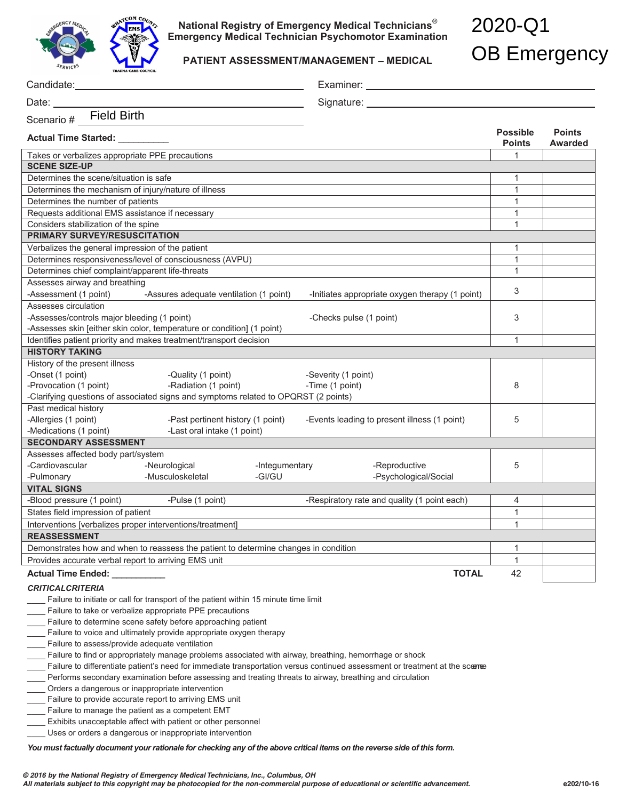

**National Registry of Emergency Medical Technicians® Emergency Medical Technician Psychomotor Examination** 

**PATIENT ASSESSMENT/MANAGEMENT – MEDICAL** 

# 2020-Q1 OB Emergency

|                                                                                                             |                                                                                      |                |                         | Examiner: Examiner and the state of the state of the state of the state of the state of the state of the state of the state of the state of the state of the state of the state of the state of the state of the state of the |                                  |                          |  |
|-------------------------------------------------------------------------------------------------------------|--------------------------------------------------------------------------------------|----------------|-------------------------|-------------------------------------------------------------------------------------------------------------------------------------------------------------------------------------------------------------------------------|----------------------------------|--------------------------|--|
| Date: $\sqrt{\frac{2}{1-\frac{1}{2}}$                                                                       |                                                                                      |                |                         |                                                                                                                                                                                                                               |                                  |                          |  |
| <b>Field Birth</b><br>Scenario #                                                                            |                                                                                      |                |                         |                                                                                                                                                                                                                               |                                  |                          |  |
| Actual Time Started: _________                                                                              |                                                                                      |                |                         |                                                                                                                                                                                                                               | <b>Possible</b><br><b>Points</b> | <b>Points</b><br>Awarded |  |
| Takes or verbalizes appropriate PPE precautions                                                             |                                                                                      |                |                         |                                                                                                                                                                                                                               | $\mathbf{1}$                     |                          |  |
| <b>SCENE SIZE-UP</b>                                                                                        |                                                                                      |                |                         |                                                                                                                                                                                                                               |                                  |                          |  |
| Determines the scene/situation is safe                                                                      |                                                                                      |                |                         |                                                                                                                                                                                                                               | 1                                |                          |  |
| Determines the mechanism of injury/nature of illness                                                        |                                                                                      |                |                         |                                                                                                                                                                                                                               | 1                                |                          |  |
| Determines the number of patients                                                                           |                                                                                      |                |                         |                                                                                                                                                                                                                               | $\mathbf{1}$                     |                          |  |
| Requests additional EMS assistance if necessary                                                             |                                                                                      |                | 1                       |                                                                                                                                                                                                                               |                                  |                          |  |
| Considers stabilization of the spine                                                                        |                                                                                      |                |                         |                                                                                                                                                                                                                               | 1                                |                          |  |
| <b>PRIMARY SURVEY/RESUSCITATION</b>                                                                         |                                                                                      |                |                         |                                                                                                                                                                                                                               |                                  |                          |  |
| Verbalizes the general impression of the patient                                                            |                                                                                      |                |                         |                                                                                                                                                                                                                               | 1                                |                          |  |
| Determines responsiveness/level of consciousness (AVPU)                                                     |                                                                                      |                |                         |                                                                                                                                                                                                                               | $\mathbf{1}$                     |                          |  |
| Determines chief complaint/apparent life-threats                                                            |                                                                                      |                |                         |                                                                                                                                                                                                                               | $\mathbf{1}$                     |                          |  |
| Assesses airway and breathing                                                                               |                                                                                      |                |                         |                                                                                                                                                                                                                               |                                  |                          |  |
| -Assessment (1 point)                                                                                       | -Assures adequate ventilation (1 point)                                              |                |                         | -Initiates appropriate oxygen therapy (1 point)                                                                                                                                                                               | 3                                |                          |  |
| Assesses circulation                                                                                        |                                                                                      |                |                         |                                                                                                                                                                                                                               |                                  |                          |  |
| -Assesses/controls major bleeding (1 point)                                                                 |                                                                                      |                | -Checks pulse (1 point) |                                                                                                                                                                                                                               | 3                                |                          |  |
| -Assesses skin [either skin color, temperature or condition] (1 point)                                      |                                                                                      |                |                         |                                                                                                                                                                                                                               |                                  |                          |  |
| Identifies patient priority and makes treatment/transport decision                                          |                                                                                      |                |                         |                                                                                                                                                                                                                               | $\mathbf{1}$                     |                          |  |
| <b>HISTORY TAKING</b>                                                                                       |                                                                                      |                |                         |                                                                                                                                                                                                                               |                                  |                          |  |
| History of the present illness                                                                              |                                                                                      |                |                         |                                                                                                                                                                                                                               |                                  |                          |  |
| -Onset (1 point)                                                                                            | -Quality (1 point)                                                                   |                | -Severity (1 point)     |                                                                                                                                                                                                                               |                                  |                          |  |
| -Provocation (1 point)                                                                                      | -Radiation (1 point)                                                                 |                | -Time (1 point)         |                                                                                                                                                                                                                               | 8                                |                          |  |
| -Clarifying questions of associated signs and symptoms related to OPQRST (2 points)<br>Past medical history |                                                                                      |                |                         |                                                                                                                                                                                                                               |                                  |                          |  |
| -Allergies (1 point)                                                                                        | -Past pertinent history (1 point)                                                    |                |                         |                                                                                                                                                                                                                               | 5                                |                          |  |
| -Medications (1 point)                                                                                      | -Last oral intake (1 point)                                                          |                |                         | -Events leading to present illness (1 point)                                                                                                                                                                                  |                                  |                          |  |
| <b>SECONDARY ASSESSMENT</b>                                                                                 |                                                                                      |                |                         |                                                                                                                                                                                                                               |                                  |                          |  |
| Assesses affected body part/system                                                                          |                                                                                      |                |                         |                                                                                                                                                                                                                               |                                  |                          |  |
| -Cardiovascular                                                                                             | -Neurological                                                                        | -Integumentary |                         | -Reproductive                                                                                                                                                                                                                 | 5                                |                          |  |
| -Pulmonary                                                                                                  | -Musculoskeletal                                                                     | -GI/GU         |                         | -Psychological/Social                                                                                                                                                                                                         |                                  |                          |  |
| <b>VITAL SIGNS</b>                                                                                          |                                                                                      |                |                         |                                                                                                                                                                                                                               |                                  |                          |  |
| -Blood pressure (1 point)                                                                                   | -Pulse (1 point)                                                                     |                |                         | -Respiratory rate and quality (1 point each)                                                                                                                                                                                  | 4                                |                          |  |
| States field impression of patient                                                                          |                                                                                      |                |                         |                                                                                                                                                                                                                               | $\mathbf{1}$                     |                          |  |
| Interventions [verbalizes proper interventions/treatment]                                                   |                                                                                      |                |                         |                                                                                                                                                                                                                               | $\overline{1}$                   |                          |  |
| <b>REASSESSMENT</b>                                                                                         |                                                                                      |                |                         |                                                                                                                                                                                                                               |                                  |                          |  |
| Demonstrates how and when to reassess the patient to determine changes in condition                         |                                                                                      |                |                         |                                                                                                                                                                                                                               | 1                                |                          |  |
| Provides accurate verbal report to arriving EMS unit                                                        |                                                                                      |                |                         |                                                                                                                                                                                                                               | $\mathbf{1}$                     |                          |  |
| <b>Actual Time Ended:</b>                                                                                   |                                                                                      |                |                         | <b>TOTAL</b>                                                                                                                                                                                                                  | 42                               |                          |  |
| <b>CRITICALCRITERIA</b>                                                                                     |                                                                                      |                |                         |                                                                                                                                                                                                                               |                                  |                          |  |
|                                                                                                             | Failure to initiate or call for transport of the patient within 15 minute time limit |                |                         |                                                                                                                                                                                                                               |                                  |                          |  |
|                                                                                                             | Failure to take or verbalize appropriate PPE precautions                             |                |                         |                                                                                                                                                                                                                               |                                  |                          |  |
|                                                                                                             | Failure to determine scene safety before approaching patient                         |                |                         |                                                                                                                                                                                                                               |                                  |                          |  |

\_\_\_\_ Failure to voice and ultimately provide appropriate oxygen therapy

\_\_\_\_ Failure to assess/provide adequate ventilation

\_\_\_\_ Failure to find or appropriately manage problems associated with airway, breathing, hemorrhage or shock

\_\_\_\_ Failure to differentiate patient's need for immediate transportation versus continued assessment or treatment at the scenee

Performs secondary examination before assessing and treating threats to airway, breathing and circulation

Orders a dangerous or inappropriate intervention

\_\_\_\_ Failure to provide accurate report to arriving EMS unit

- \_\_\_\_ Failure to manage the patient as a competent EMT
- \_\_\_\_ Exhibits unacceptable affect with patient or other personnel

\_\_\_\_ Uses or orders a dangerous or inappropriate intervention

*You must factually document your rationale for checking any of the above critical items on the reverse side of this form.*